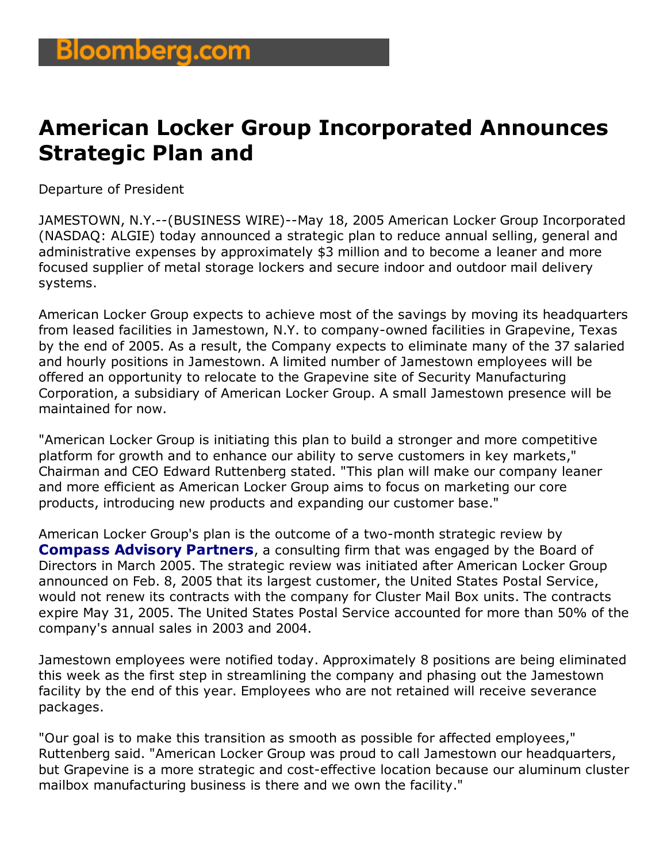## **American Locker Group Incorporated Announces Strategic Plan and**

Departure of President

JAMESTOWN, N.Y.--(BUSINESS WIRE)--May 18, 2005 American Locker Group Incorporated (NASDAQ: ALGIE) today announced a strategic plan to reduce annual selling, general and administrative expenses by approximately \$3 million and to become a leaner and more focused supplier of metal storage lockers and secure indoor and outdoor mail delivery systems.

American Locker Group expects to achieve most of the savings by moving its headquarters from leased facilities in Jamestown, N.Y. to company-owned facilities in Grapevine, Texas by the end of 2005. As a result, the Company expects to eliminate many of the 37 salaried and hourly positions in Jamestown. A limited number of Jamestown employees will be offered an opportunity to relocate to the Grapevine site of Security Manufacturing Corporation, a subsidiary of American Locker Group. A small Jamestown presence will be maintained for now.

"American Locker Group is initiating this plan to build a stronger and more competitive platform for growth and to enhance our ability to serve customers in key markets," Chairman and CEO Edward Ruttenberg stated. "This plan will make our company leaner and more efficient as American Locker Group aims to focus on marketing our core products, introducing new products and expanding our customer base."

American Locker Group's plan is the outcome of a two-month strategic review by **Compass Advisory Partners**, a consulting firm that was engaged by the Board of Directors in March 2005. The strategic review was initiated after American Locker Group announced on Feb. 8, 2005 that its largest customer, the United States Postal Service, would not renew its contracts with the company for Cluster Mail Box units. The contracts expire May 31, 2005. The United States Postal Service accounted for more than 50% of the company's annual sales in 2003 and 2004.

Jamestown employees were notified today. Approximately 8 positions are being eliminated this week as the first step in streamlining the company and phasing out the Jamestown facility by the end of this year. Employees who are not retained will receive severance packages.

"Our goal is to make this transition as smooth as possible for affected employees," Ruttenberg said. "American Locker Group was proud to call Jamestown our headquarters, but Grapevine is a more strategic and cost-effective location because our aluminum cluster mailbox manufacturing business is there and we own the facility."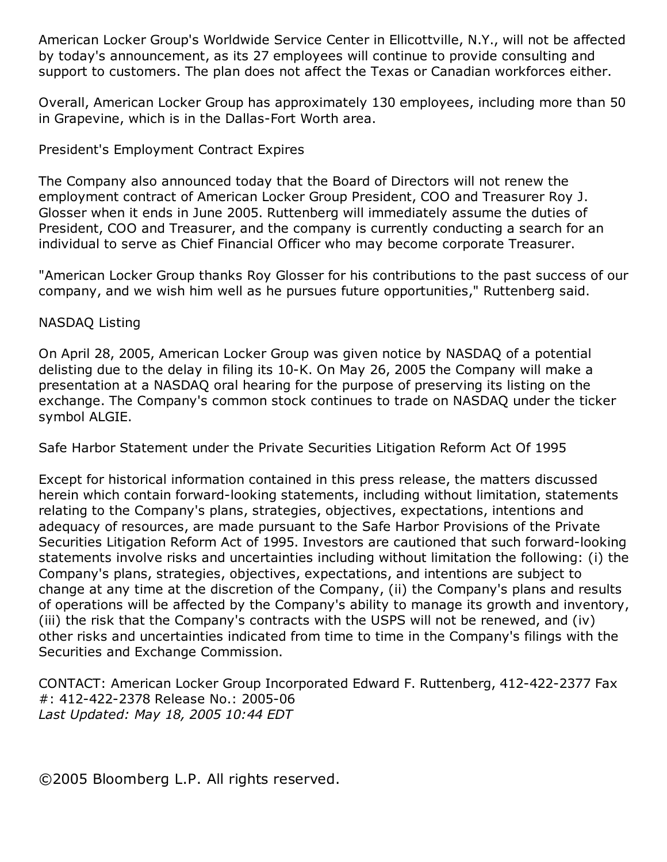American Locker Group's Worldwide Service Center in Ellicottville, N.Y., will not be affected by today's announcement, as its 27 employees will continue to provide consulting and support to customers. The plan does not affect the Texas or Canadian workforces either.

Overall, American Locker Group has approximately 130 employees, including more than 50 in Grapevine, which is in the Dallas-Fort Worth area.

## President's Employment Contract Expires

The Company also announced today that the Board of Directors will not renew the employment contract of American Locker Group President, COO and Treasurer Roy J. Glosser when it ends in June 2005. Ruttenberg will immediately assume the duties of President, COO and Treasurer, and the company is currently conducting a search for an individual to serve as Chief Financial Officer who may become corporate Treasurer.

"American Locker Group thanks Roy Glosser for his contributions to the past success of our company, and we wish him well as he pursues future opportunities," Ruttenberg said.

## NASDAQ Listing

On April 28, 2005, American Locker Group was given notice by NASDAQ of a potential delisting due to the delay in filing its 10-K. On May 26, 2005 the Company will make a presentation at a NASDAQ oral hearing for the purpose of preserving its listing on the exchange. The Company's common stock continues to trade on NASDAQ under the ticker symbol ALGIE.

Safe Harbor Statement under the Private Securities Litigation Reform Act Of 1995

Except for historical information contained in this press release, the matters discussed herein which contain forward-looking statements, including without limitation, statements relating to the Company's plans, strategies, objectives, expectations, intentions and adequacy of resources, are made pursuant to the Safe Harbor Provisions of the Private Securities Litigation Reform Act of 1995. Investors are cautioned that such forward-looking statements involve risks and uncertainties including without limitation the following: (i) the Company's plans, strategies, objectives, expectations, and intentions are subject to change at any time at the discretion of the Company, (ii) the Company's plans and results of operations will be affected by the Company's ability to manage its growth and inventory, (iii) the risk that the Company's contracts with the USPS will not be renewed, and (iv) other risks and uncertainties indicated from time to time in the Company's filings with the Securities and Exchange Commission.

CONTACT: American Locker Group Incorporated Edward F. Ruttenberg, 412-422-2377 Fax #: 412-422-2378 Release No.: 2005-06 *Last Updated: May 18, 2005 10:44 EDT*

©2005 Bloomberg L.P. All rights reserved.